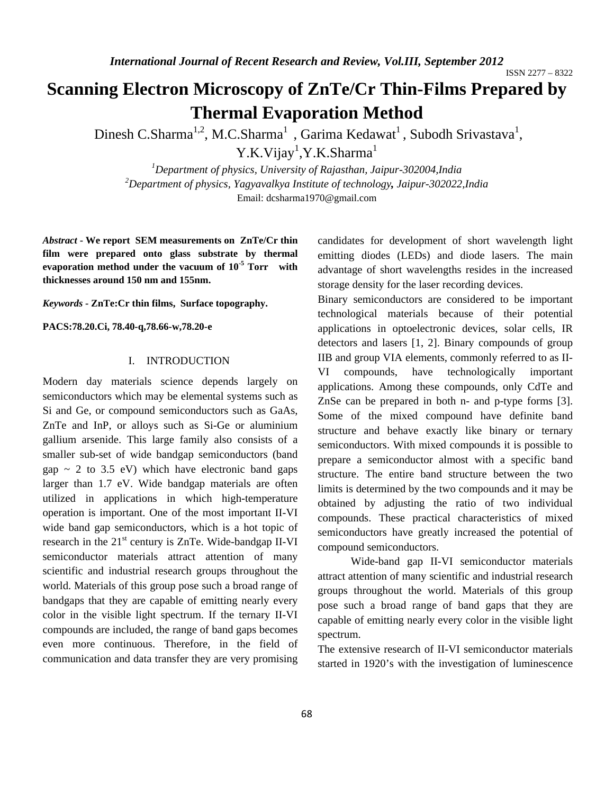ISSN 2277 – 8322

# **Scanning Electron Microscopy of ZnTe/Cr Thin-Films Prepared by Thermal Evaporation Method**

Dinesh C.Sharma<sup>1,2</sup>, M.C.Sharma<sup>1</sup>, Garima Kedawat<sup>1</sup>, Subodh Srivastava<sup>1</sup>, Y.K.Vijay<sup>1</sup>,Y.K.Sharma<sup>1</sup>

*1 Department of physics, University of Rajasthan, Jaipur-302004,India 2 Department of physics, Yagyavalkya Institute of technology, Jaipur-302022,India* Email: dcsharma1970@gmail.com

*Abstract* **- We report SEM measurements on ZnTe/Cr thin film were prepared onto glass substrate by thermal evaporation method under the vacuum of 10-5 Torr with thicknesses around 150 nm and 155nm.** 

*Keywords* **- ZnTe:Cr thin films, Surface topography.** 

**PACS:78.20.Ci, 78.40-q,78.66-w,78.20-e** 

# I. INTRODUCTION

Modern day materials science depends largely on semiconductors which may be elemental systems such as Si and Ge, or compound semiconductors such as GaAs, ZnTe and InP, or alloys such as Si-Ge or aluminium gallium arsenide. This large family also consists of a smaller sub-set of wide bandgap semiconductors (band gap  $\sim$  2 to 3.5 eV) which have electronic band gaps larger than 1.7 eV. Wide bandgap materials are often utilized in applications in which high-temperature operation is important. One of the most important II-VI wide band gap semiconductors, which is a hot topic of research in the  $21<sup>st</sup>$  century is ZnTe. Wide-bandgap II-VI semiconductor materials attract attention of many scientific and industrial research groups throughout the world. Materials of this group pose such a broad range of bandgaps that they are capable of emitting nearly every color in the visible light spectrum. If the ternary II-VI compounds are included, the range of band gaps becomes even more continuous. Therefore, in the field of communication and data transfer they are very promising

candidates for development of short wavelength light emitting diodes (LEDs) and diode lasers. The main advantage of short wavelengths resides in the increased storage density for the laser recording devices.

Binary semiconductors are considered to be important technological materials because of their potential applications in optoelectronic devices, solar cells, IR detectors and lasers [1, 2]. Binary compounds of group IIB and group VIA elements, commonly referred to as II-VI compounds, have technologically important applications. Among these compounds, only CdTe and ZnSe can be prepared in both n- and p-type forms [3]. Some of the mixed compound have definite band structure and behave exactly like binary or ternary semiconductors. With mixed compounds it is possible to prepare a semiconductor almost with a specific band structure. The entire band structure between the two limits is determined by the two compounds and it may be obtained by adjusting the ratio of two individual compounds. These practical characteristics of mixed semiconductors have greatly increased the potential of compound semiconductors.

 Wide-band gap II-VI semiconductor materials attract attention of many scientific and industrial research groups throughout the world. Materials of this group pose such a broad range of band gaps that they are capable of emitting nearly every color in the visible light spectrum.

The extensive research of II-VI semiconductor materials started in 1920's with the investigation of luminescence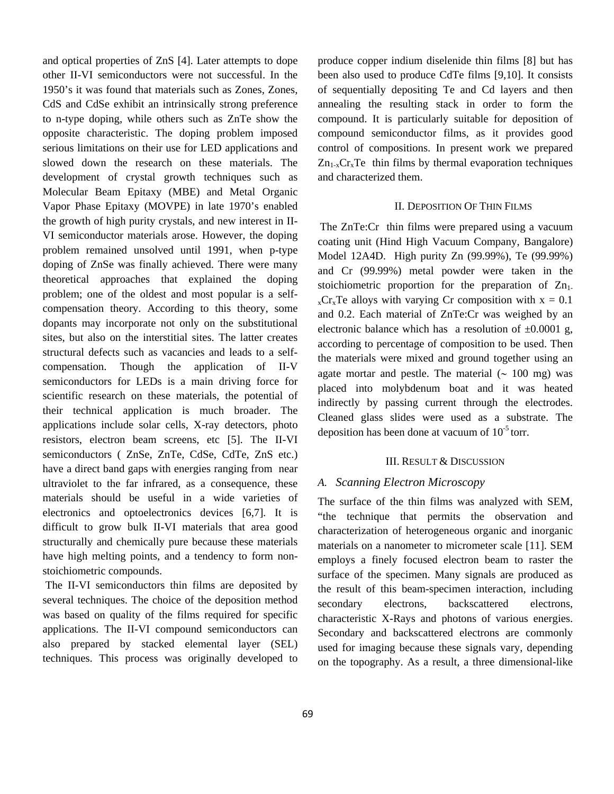and optical properties of ZnS [4]. Later attempts to dope other II-VI semiconductors were not successful. In the 1950's it was found that materials such as Zones, Zones, CdS and CdSe exhibit an intrinsically strong preference to n-type doping, while others such as ZnTe show the opposite characteristic. The doping problem imposed serious limitations on their use for LED applications and slowed down the research on these materials. The development of crystal growth techniques such as Molecular Beam Epitaxy (MBE) and Metal Organic Vapor Phase Epitaxy (MOVPE) in late 1970's enabled the growth of high purity crystals, and new interest in II-VI semiconductor materials arose. However, the doping problem remained unsolved until 1991, when p-type doping of ZnSe was finally achieved. There were many theoretical approaches that explained the doping problem; one of the oldest and most popular is a selfcompensation theory. According to this theory, some dopants may incorporate not only on the substitutional sites, but also on the interstitial sites. The latter creates structural defects such as vacancies and leads to a selfcompensation. Though the application of II-V semiconductors for LEDs is a main driving force for scientific research on these materials, the potential of their technical application is much broader. The applications include solar cells, X-ray detectors, photo resistors, electron beam screens, etc [5]. The II-VI semiconductors ( ZnSe, ZnTe, CdSe, CdTe, ZnS etc.) have a direct band gaps with energies ranging from near ultraviolet to the far infrared, as a consequence, these materials should be useful in a wide varieties of electronics and optoelectronics devices [6,7]. It is difficult to grow bulk II-VI materials that area good structurally and chemically pure because these materials have high melting points, and a tendency to form nonstoichiometric compounds.

 The II-VI semiconductors thin films are deposited by several techniques. The choice of the deposition method was based on quality of the films required for specific applications. The II-VI compound semiconductors can also prepared by stacked elemental layer (SEL) techniques. This process was originally developed to produce copper indium diselenide thin films [8] but has been also used to produce CdTe films [9,10]. It consists of sequentially depositing Te and Cd layers and then annealing the resulting stack in order to form the compound. It is particularly suitable for deposition of compound semiconductor films, as it provides good control of compositions. In present work we prepared  $Zn_{1-x}Cr_xTe$  thin films by thermal evaporation techniques and characterized them.

## II. DEPOSITION OF THIN FILMS

The ZnTe:Cr thin films were prepared using a vacuum coating unit (Hind High Vacuum Company, Bangalore) Model 12A4D. High purity Zn (99.99%), Te (99.99%) and Cr (99.99%) metal powder were taken in the stoichiometric proportion for the preparation of  $Zn_1$ .  $_{x}Cr_{x}Te$  alloys with varying Cr composition with  $x = 0.1$ and 0.2. Each material of ZnTe:Cr was weighed by an electronic balance which has a resolution of  $\pm 0.0001$  g, according to percentage of composition to be used. Then the materials were mixed and ground together using an agate mortar and pestle. The material  $(~ 100 \text{ mg})$  was placed into molybdenum boat and it was heated indirectly by passing current through the electrodes. Cleaned glass slides were used as a substrate. The deposition has been done at vacuum of  $10^{-5}$  torr.

#### III. RESULT & DISCUSSION

## *A. Scanning Electron Microscopy*

The surface of the thin films was analyzed with SEM, "the technique that permits the observation and characterization of heterogeneous organic and inorganic materials on a nanometer to micrometer scale [11]. SEM employs a finely focused electron beam to raster the surface of the specimen. Many signals are produced as the result of this beam-specimen interaction, including secondary electrons, backscattered electrons, characteristic X-Rays and photons of various energies. Secondary and backscattered electrons are commonly used for imaging because these signals vary, depending on the topography. As a result, a three dimensional-like